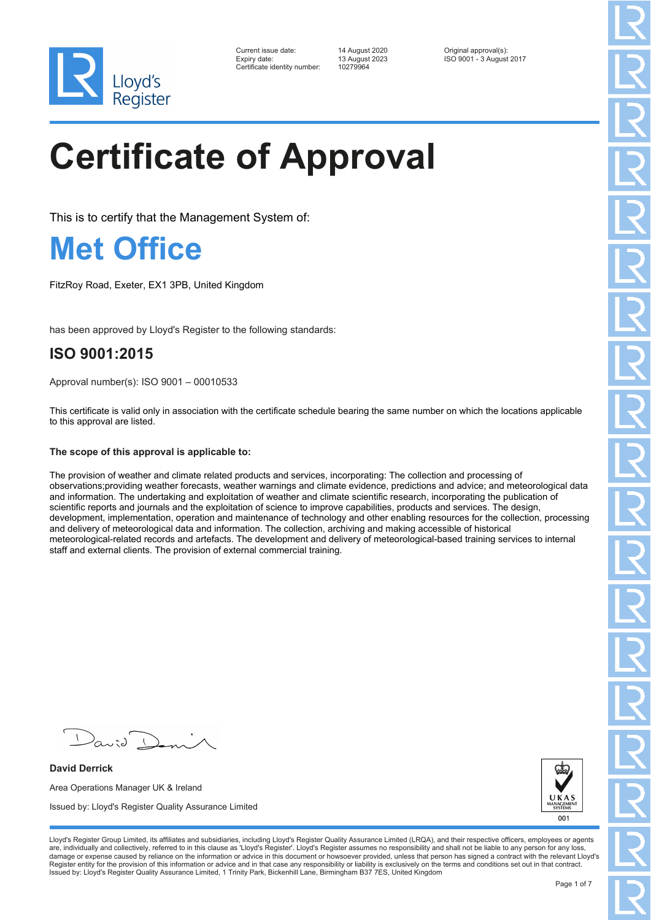

| Current issue date:          | 14 August 2020 | Original approval(s):    |
|------------------------------|----------------|--------------------------|
| Expiry date:                 | 13 August 2023 | ISO 9001 - 3 August 2017 |
| Certificate identity number: | 10279964       |                          |

# **Certificate of Approval**

This is to certify that the Management System of:

#### **Met Office**

FitzRoy Road, Exeter, EX1 3PB, United Kingdom

has been approved by Lloyd's Register to the following standards:

#### **ISO 9001:2015**

Approval number(s): ISO 9001 – 00010533

This certificate is valid only in association with the certificate schedule bearing the same number on which the locations applicable to this approval are listed.

#### **The scope of this approval is applicable to:**

The provision of weather and climate related products and services, incorporating: The collection and processing of observations;providing weather forecasts, weather warnings and climate evidence, predictions and advice; and meteorological data and information. The undertaking and exploitation of weather and climate scientific research, incorporating the publication of scientific reports and journals and the exploitation of science to improve capabilities, products and services. The design, development, implementation, operation and maintenance of technology and other enabling resources for the collection, processing and delivery of meteorological data and information. The collection, archiving and making accessible of historical meteorological-related records and artefacts. The development and delivery of meteorological-based training services to internal staff and external clients. The provision of external commercial training.

**David Derrick** Area Operations Manager UK & Ireland Issued by: Lloyd's Register Quality Assurance Limited



Lloyd's Register Group Limited, its affiliates and subsidiaries, including Lloyd's Register Quality Assurance Limited (LRQA), and their respective officers, employees or agents are, individually and collectively, referred to in this clause as 'Lloyd's Register'. Lloyd's Register assumes no responsibility and shall not be liable to any person for any loss,<br>damage or expense caused by reliance on t Register entity for the provision of this information or advice and in that case any responsibility or liability is exclusively on the terms and conditions set out in that contract. Issued by: Lloyd's Register Quality Assurance Limited, 1 Trinity Park, Bickenhill Lane, Birmingham B37 7ES, United Kingdom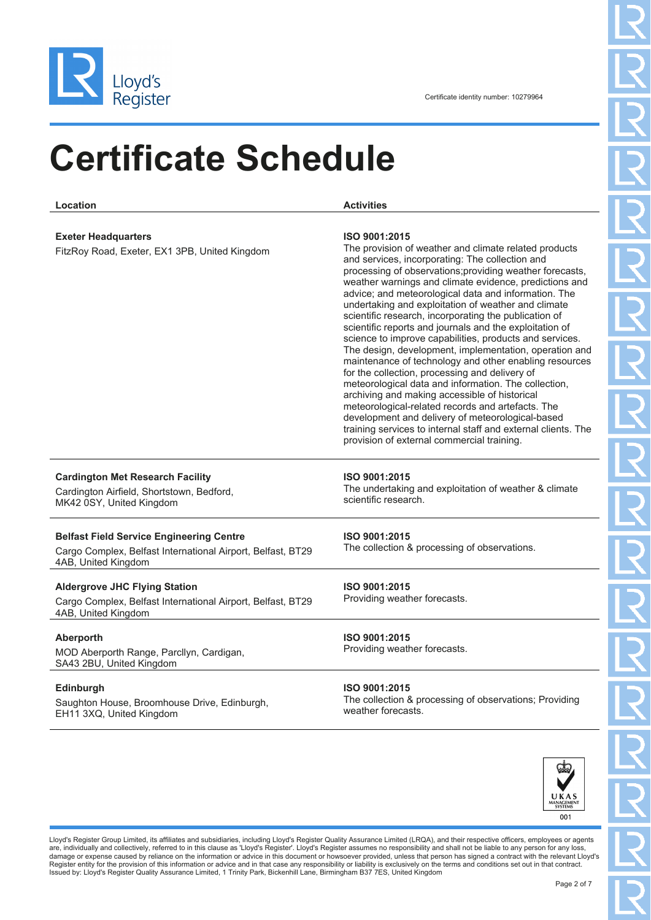

| Location                                                                                                                              | <b>Activities</b>                                                                                                                                                                                                                                                                                                                                                                                                                                                                                                                                                                                                                                                                                                                                                                                                                                                                                                                                                                                                                                    |
|---------------------------------------------------------------------------------------------------------------------------------------|------------------------------------------------------------------------------------------------------------------------------------------------------------------------------------------------------------------------------------------------------------------------------------------------------------------------------------------------------------------------------------------------------------------------------------------------------------------------------------------------------------------------------------------------------------------------------------------------------------------------------------------------------------------------------------------------------------------------------------------------------------------------------------------------------------------------------------------------------------------------------------------------------------------------------------------------------------------------------------------------------------------------------------------------------|
|                                                                                                                                       |                                                                                                                                                                                                                                                                                                                                                                                                                                                                                                                                                                                                                                                                                                                                                                                                                                                                                                                                                                                                                                                      |
| <b>Exeter Headquarters</b><br>FitzRoy Road, Exeter, EX1 3PB, United Kingdom                                                           | ISO 9001:2015<br>The provision of weather and climate related products<br>and services, incorporating: The collection and<br>processing of observations; providing weather forecasts,<br>weather warnings and climate evidence, predictions and<br>advice; and meteorological data and information. The<br>undertaking and exploitation of weather and climate<br>scientific research, incorporating the publication of<br>scientific reports and journals and the exploitation of<br>science to improve capabilities, products and services.<br>The design, development, implementation, operation and<br>maintenance of technology and other enabling resources<br>for the collection, processing and delivery of<br>meteorological data and information. The collection,<br>archiving and making accessible of historical<br>meteorological-related records and artefacts. The<br>development and delivery of meteorological-based<br>training services to internal staff and external clients. The<br>provision of external commercial training. |
| <b>Cardington Met Research Facility</b><br>Cardington Airfield, Shortstown, Bedford,<br>MK42 0SY, United Kingdom                      | ISO 9001:2015<br>The undertaking and exploitation of weather & climate<br>scientific research.                                                                                                                                                                                                                                                                                                                                                                                                                                                                                                                                                                                                                                                                                                                                                                                                                                                                                                                                                       |
| <b>Belfast Field Service Engineering Centre</b><br>Cargo Complex, Belfast International Airport, Belfast, BT29<br>4AB, United Kingdom | ISO 9001:2015<br>The collection & processing of observations.                                                                                                                                                                                                                                                                                                                                                                                                                                                                                                                                                                                                                                                                                                                                                                                                                                                                                                                                                                                        |
| <b>Aldergrove JHC Flying Station</b><br>Cargo Complex, Belfast International Airport, Belfast, BT29<br>4AB, United Kingdom            | ISO 9001:2015<br>Providing weather forecasts.                                                                                                                                                                                                                                                                                                                                                                                                                                                                                                                                                                                                                                                                                                                                                                                                                                                                                                                                                                                                        |
| Aberporth<br>MOD Aberporth Range, Parcllyn, Cardigan,<br>SA43 2BU, United Kingdom                                                     | ISO 9001:2015<br>Providing weather forecasts.                                                                                                                                                                                                                                                                                                                                                                                                                                                                                                                                                                                                                                                                                                                                                                                                                                                                                                                                                                                                        |
| <b>Edinburgh</b><br>Saughton House, Broomhouse Drive, Edinburgh,<br>EH11 3XQ, United Kingdom                                          | ISO 9001:2015<br>The collection & processing of observations; Providing<br>weather forecasts.                                                                                                                                                                                                                                                                                                                                                                                                                                                                                                                                                                                                                                                                                                                                                                                                                                                                                                                                                        |



Lloyd's Register Group Limited, its affiliates and subsidiaries, including Lloyd's Register Quality Assurance Limited (LRQA), and their respective officers, employees or agents<br>are, individually and collectively, referred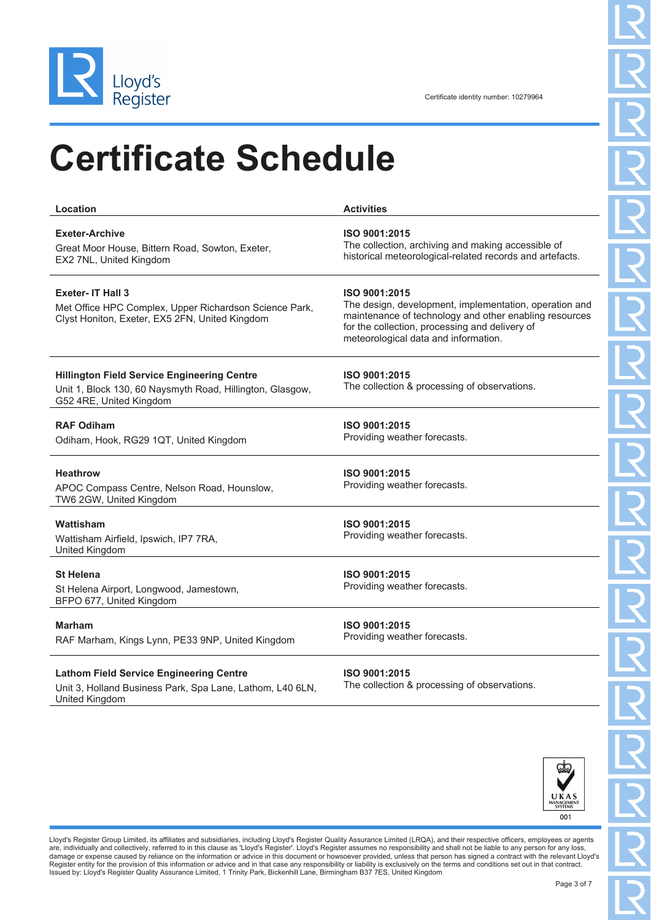

United Kingdom

## **Certificate Schedule**

| Location                                                                                                                                   | <b>Activities</b>                                                                                                                                                                                                           |
|--------------------------------------------------------------------------------------------------------------------------------------------|-----------------------------------------------------------------------------------------------------------------------------------------------------------------------------------------------------------------------------|
| <b>Exeter-Archive</b><br>Great Moor House, Bittern Road, Sowton, Exeter,<br>EX2 7NL, United Kingdom                                        | ISO 9001:2015<br>The collection, archiving and making accessible of<br>historical meteorological-related records and artefacts.                                                                                             |
| <b>Exeter-IT Hall 3</b><br>Met Office HPC Complex, Upper Richardson Science Park,<br>Clyst Honiton, Exeter, EX5 2FN, United Kingdom        | ISO 9001:2015<br>The design, development, implementation, operation and<br>maintenance of technology and other enabling resources<br>for the collection, processing and delivery of<br>meteorological data and information. |
| <b>Hillington Field Service Engineering Centre</b><br>Unit 1, Block 130, 60 Naysmyth Road, Hillington, Glasgow,<br>G52 4RE, United Kingdom | ISO 9001:2015<br>The collection & processing of observations.                                                                                                                                                               |
| <b>RAF Odiham</b><br>Odiham, Hook, RG29 1QT, United Kingdom                                                                                | ISO 9001:2015<br>Providing weather forecasts.                                                                                                                                                                               |
| <b>Heathrow</b><br>APOC Compass Centre, Nelson Road, Hounslow,<br>TW6 2GW, United Kingdom                                                  | ISO 9001:2015<br>Providing weather forecasts.                                                                                                                                                                               |
| Wattisham<br>Wattisham Airfield, Ipswich, IP7 7RA,<br>United Kingdom                                                                       | ISO 9001:2015<br>Providing weather forecasts.                                                                                                                                                                               |
| <b>St Helena</b><br>St Helena Airport, Longwood, Jamestown,<br>BFPO 677, United Kingdom                                                    | ISO 9001:2015<br>Providing weather forecasts.                                                                                                                                                                               |
| <b>Marham</b><br>RAF Marham, Kings Lynn, PE33 9NP, United Kingdom                                                                          | ISO 9001:2015<br>Providing weather forecasts.                                                                                                                                                                               |
| <b>Lathom Field Service Engineering Centre</b><br>Unit 3, Holland Business Park, Spa Lane, Lathom, L40 6LN,                                | ISO 9001:2015<br>The collection & processing of observations.                                                                                                                                                               |



Lloyd's Register Group Limited, its affiliates and subsidiaries, including Lloyd's Register Quality Assurance Limited (LRQA), and their respective officers, employees or agents<br>are, individually and collectively, referred Register entity for the provision of this information or advice and in that case any responsibility or liability is exclusively on the terms and conditions set out in that contract.<br>Issued by: Lloyd's Register Quality Assu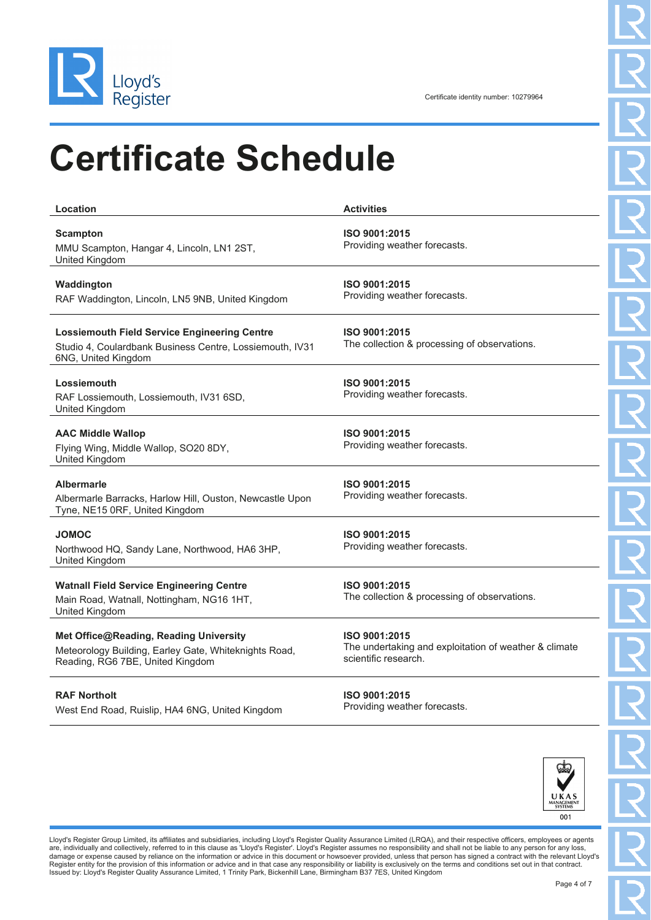

| Location                                                                                                                               | <b>Activities</b>                                                                              |
|----------------------------------------------------------------------------------------------------------------------------------------|------------------------------------------------------------------------------------------------|
| <b>Scampton</b><br>MMU Scampton, Hangar 4, Lincoln, LN1 2ST,<br>United Kingdom                                                         | ISO 9001:2015<br>Providing weather forecasts.                                                  |
| Waddington<br>RAF Waddington, Lincoln, LN5 9NB, United Kingdom                                                                         | ISO 9001:2015<br>Providing weather forecasts.                                                  |
| <b>Lossiemouth Field Service Engineering Centre</b><br>Studio 4, Coulardbank Business Centre, Lossiemouth, IV31<br>6NG, United Kingdom | ISO 9001:2015<br>The collection & processing of observations.                                  |
| Lossiemouth<br>RAF Lossiemouth, Lossiemouth, IV31 6SD,<br>United Kingdom                                                               | ISO 9001:2015<br>Providing weather forecasts.                                                  |
| <b>AAC Middle Wallop</b><br>Flying Wing, Middle Wallop, SO20 8DY,<br>United Kingdom                                                    | ISO 9001:2015<br>Providing weather forecasts.                                                  |
| <b>Albermarle</b><br>Albermarle Barracks, Harlow Hill, Ouston, Newcastle Upon<br>Tyne, NE15 0RF, United Kingdom                        | ISO 9001:2015<br>Providing weather forecasts.                                                  |
| <b>JOMOC</b><br>Northwood HQ, Sandy Lane, Northwood, HA6 3HP,<br>United Kingdom                                                        | ISO 9001:2015<br>Providing weather forecasts.                                                  |
| <b>Watnall Field Service Engineering Centre</b><br>Main Road, Watnall, Nottingham, NG16 1HT,<br>United Kingdom                         | ISO 9001:2015<br>The collection & processing of observations.                                  |
| Met Office@Reading, Reading University<br>Meteorology Building, Earley Gate, Whiteknights Road,<br>Reading, RG6 7BE, United Kingdom    | ISO 9001:2015<br>The undertaking and exploitation of weather & climate<br>scientific research. |
| <b>RAF Northolt</b><br>West End Road, Ruislip, HA4 6NG, United Kingdom                                                                 | ISO 9001:2015<br>Providing weather forecasts.                                                  |



Lloyd's Register Group Limited, its affiliates and subsidiaries, including Lloyd's Register Quality Assurance Limited (LRQA), and their respective officers, employees or agents<br>are, individually and collectively, referred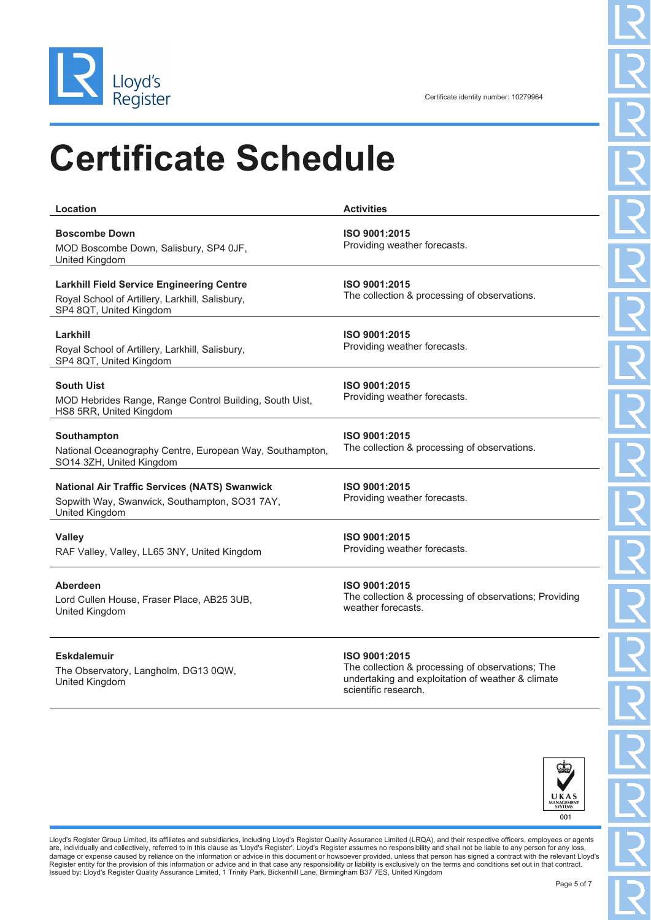

**Location Activities Boscombe Down** MOD Boscombe Down, Salisbury, SP4 0JF, United Kingdom **ISO 9001:2015** Providing weather forecasts. **Larkhill Field Service Engineering Centre** Royal School of Artillery, Larkhill, Salisbury, SP4 8QT, United Kingdom **ISO 9001:2015** The collection & processing of observations. **Larkhill** Royal School of Artillery, Larkhill, Salisbury, SP4 8QT, United Kingdom **ISO 9001:2015** Providing weather forecasts. **South Uist** MOD Hebrides Range, Range Control Building, South Uist, HS8 5RR, United Kingdom **ISO 9001:2015** Providing weather forecasts. **Southampton** National Oceanography Centre, European Way, Southampton, SO14 3ZH, United Kingdom **ISO 9001:2015** The collection & processing of observations. **National Air Traffic Services (NATS) Swanwick** Sopwith Way, Swanwick, Southampton, SO31 7AY, United Kingdom **ISO 9001:2015** Providing weather forecasts. **Valley** RAF Valley, Valley, LL65 3NY, United Kingdom **ISO 9001:2015** Providing weather forecasts. **Aberdeen** Lord Cullen House, Fraser Place, AB25 3UB, United Kingdom **ISO 9001:2015** The collection & processing of observations; Providing weather forecasts.

#### **Eskdalemuir**

The Observatory, Langholm, DG13 0QW, United Kingdom

#### **ISO 9001:2015**

The collection & processing of observations; The undertaking and exploitation of weather & climate scientific research.



Lloyd's Register Group Limited, its affiliates and subsidiaries, including Lloyd's Register Quality Assurance Limited (LRQA), and their respective officers, employees or agents are, individually and collectively, referred to in this clause as 'Lloyd's Register'. Lloyd's Register assumes no responsibility and shall not be liable to any person for any loss,<br>damage or expense caused by reliance on t Register entity for the provision of this information or advice and in that case any responsibility or liability is exclusively on the terms and conditions set out in that contract. Issued by: Lloyd's Register Quality Assurance Limited, 1 Trinity Park, Bickenhill Lane, Birmingham B37 7ES, United Kingdom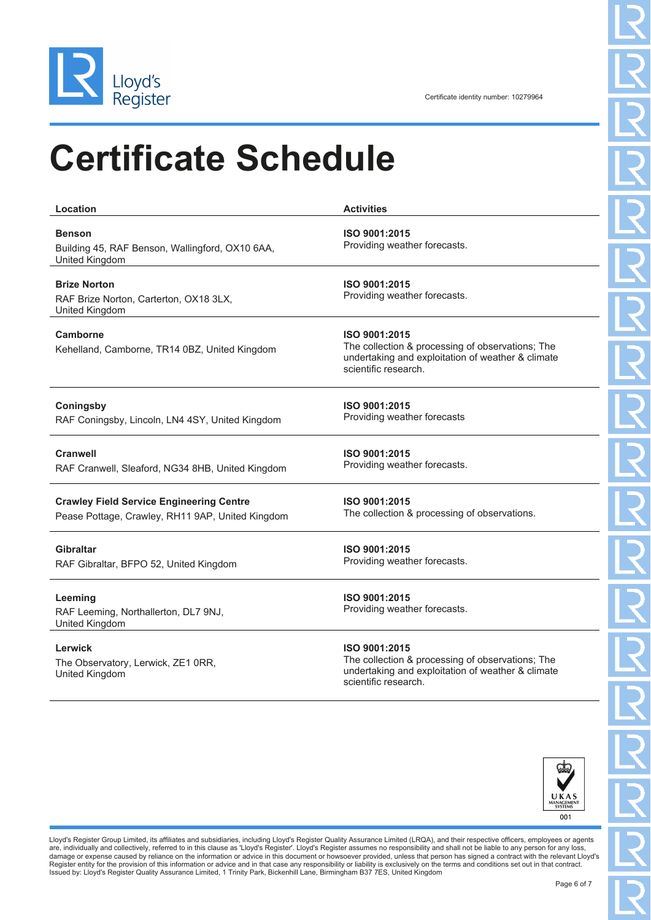

**Location Activities Benson** Building 45, RAF Benson, Wallingford, OX10 6AA, United Kingdom **ISO 9001:2015** Providing weather forecasts. **Brize Norton** RAF Brize Norton, Carterton, OX18 3LX, United Kingdom **ISO 9001:2015** Providing weather forecasts. **Camborne** Kehelland, Camborne, TR14 0BZ, United Kingdom **ISO 9001:2015** The collection & processing of observations; The undertaking and exploitation of weather & climate scientific research. **Coningsby** RAF Coningsby, Lincoln, LN4 4SY, United Kingdom **ISO 9001:2015** Providing weather forecasts **Cranwell** RAF Cranwell, Sleaford, NG34 8HB, United Kingdom **ISO 9001:2015** Providing weather forecasts. **Crawley Field Service Engineering Centre** Pease Pottage, Crawley, RH11 9AP, United Kingdom **ISO 9001:2015** The collection & processing of observations. **Gibraltar** RAF Gibraltar, BFPO 52, United Kingdom **ISO 9001:2015** Providing weather forecasts. **Leeming** RAF Leeming, Northallerton, DL7 9NJ, United Kingdom **ISO 9001:2015** Providing weather forecasts. **Lerwick** The Observatory, Lerwick, ZE1 0RR, United Kingdom **ISO 9001:2015** The collection & processing of observations; The undertaking and exploitation of weather & climate scientific research.



Lloyd's Register Group Limited, its affiliates and subsidiaries, including Lloyd's Register Quality Assurance Limited (LRQA), and their respective officers, employees or agents are, individually and collectively, referred to in this clause as 'Lloyd's Register'. Lloyd's Register assumes no responsibility and shall not be liable to any person for any loss,<br>damage or expense caused by reliance on t Register entity for the provision of this information or advice and in that case any responsibility or liability is exclusively on the terms and conditions set out in that contract.<br>Issued by: Lloyd's Register Quality Assu